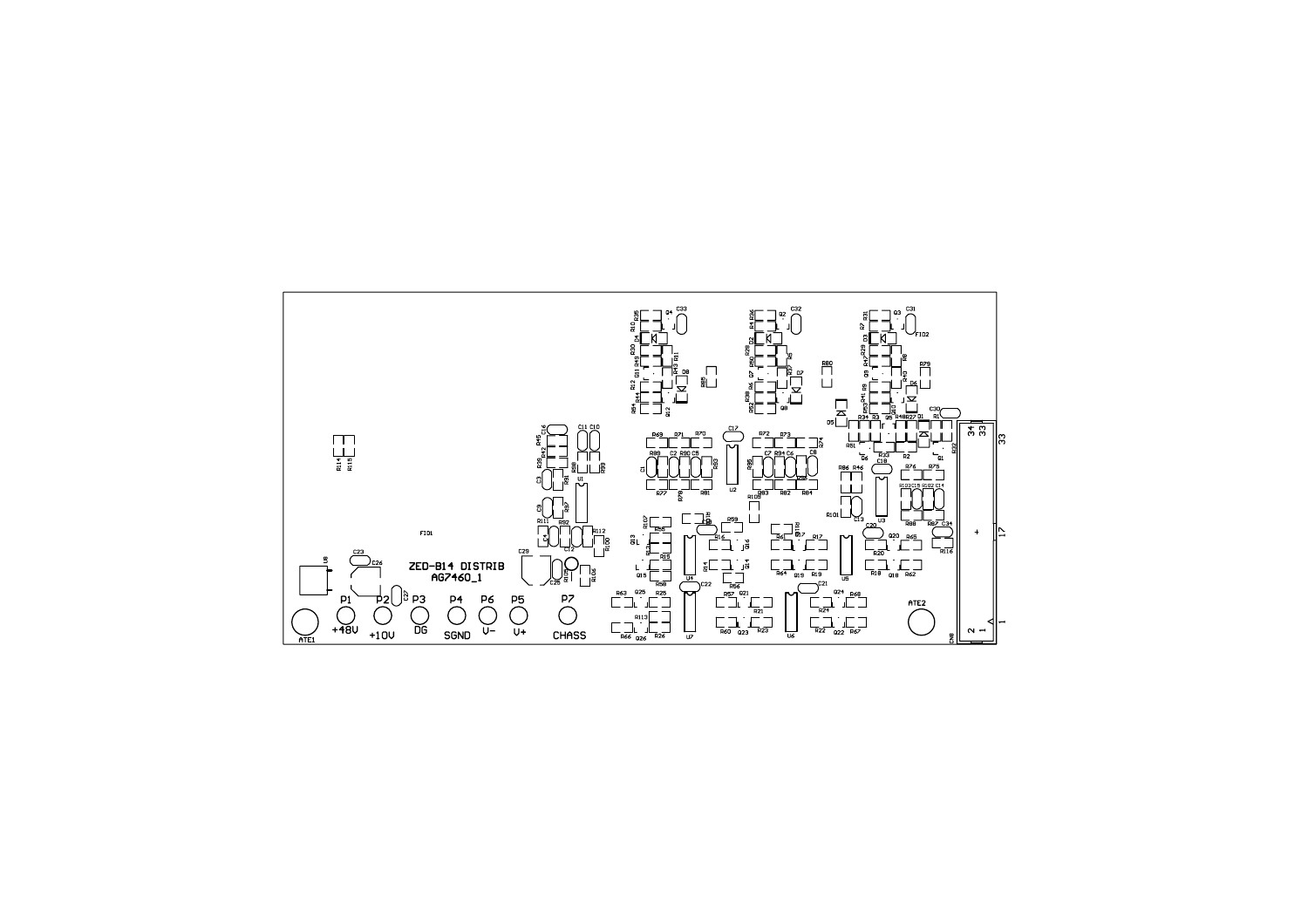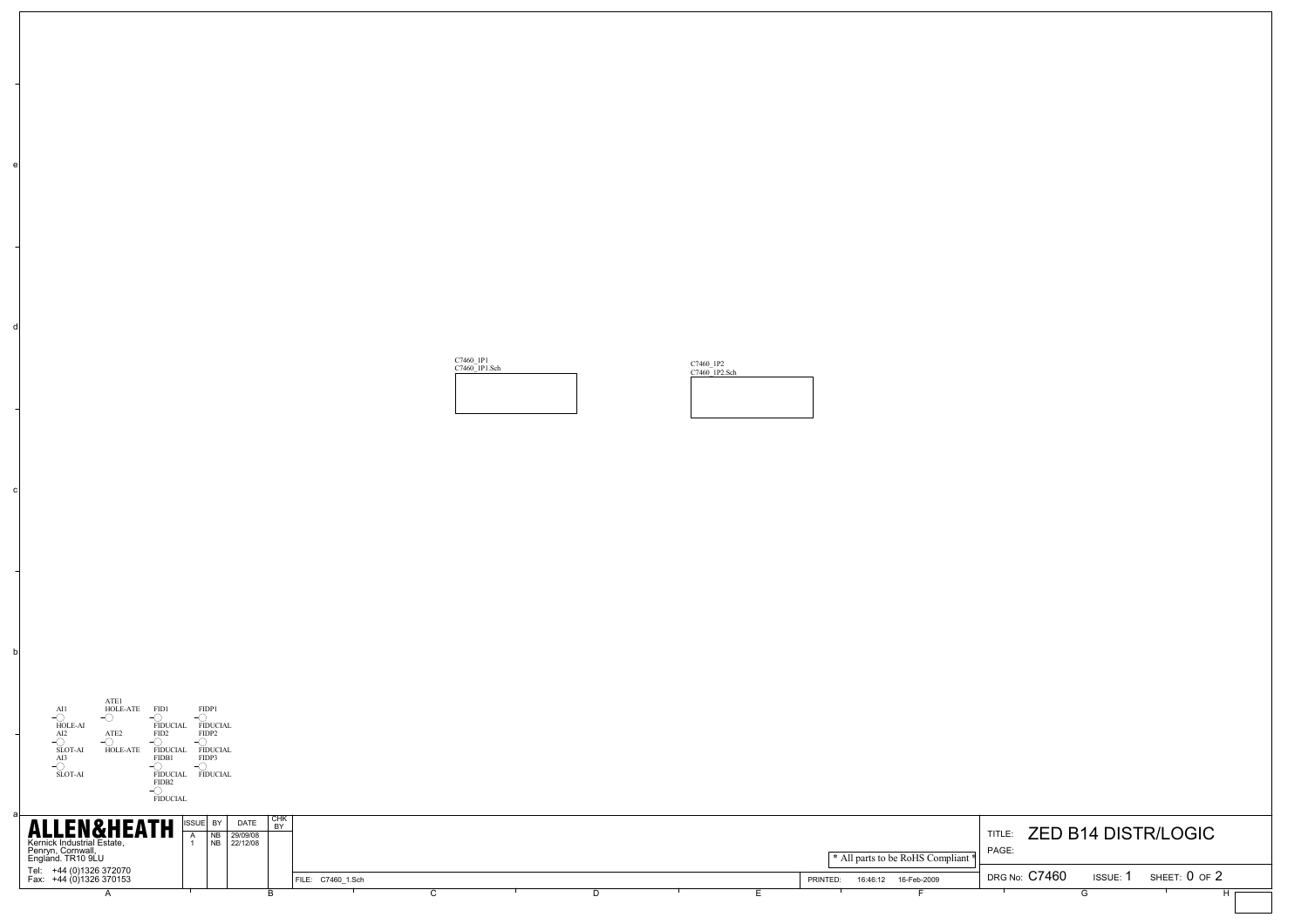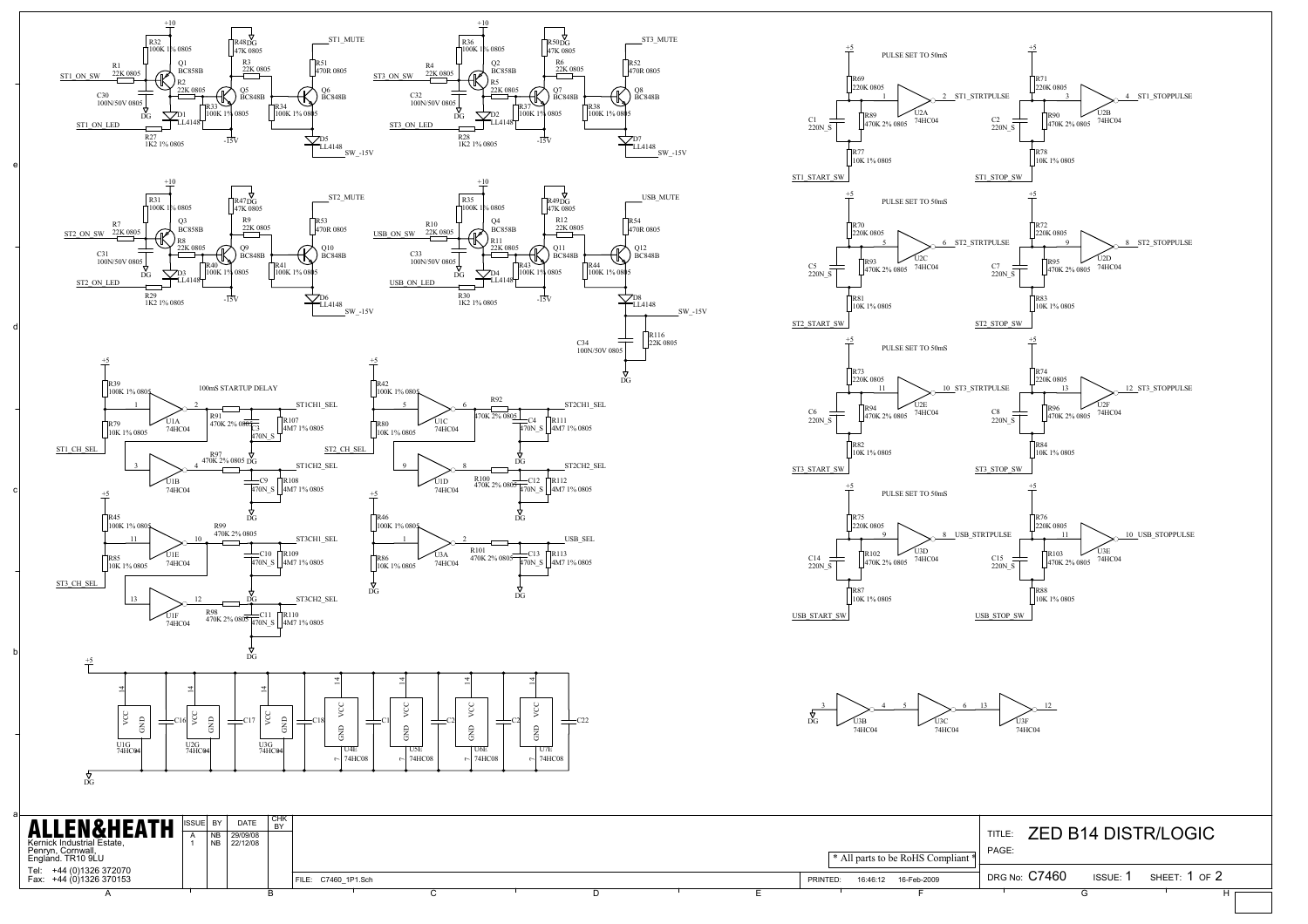